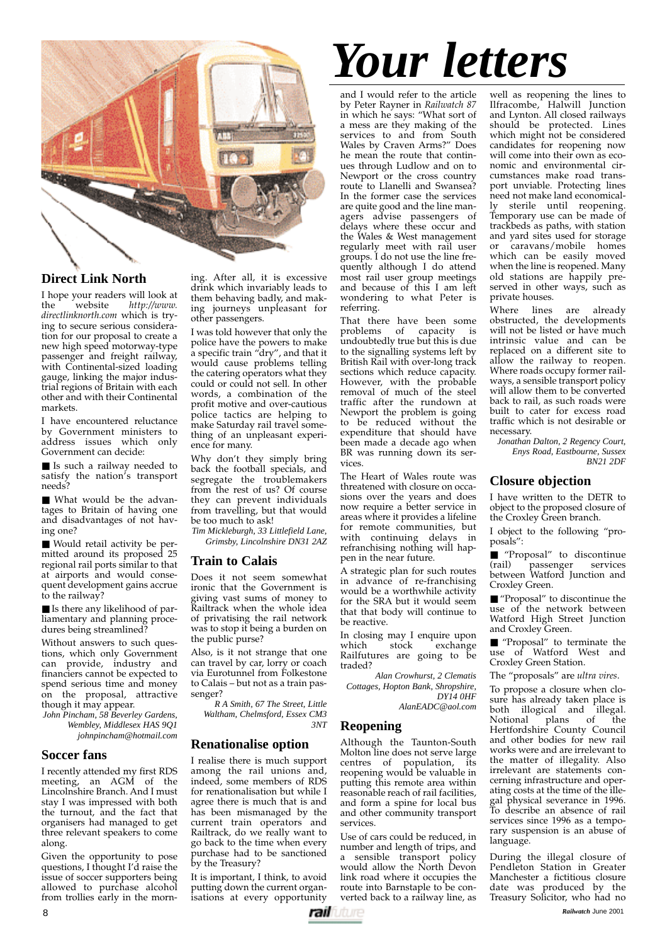

# **Direct Link North**

I hope your readers will look at the website  $http://www.$ http://www. *directlinknorth.com* which is trying to secure serious consideration for our proposal to create a new high speed motorway-type passenger and freight railway, with Continental-sized loading gauge, linking the major industrial regions of Britain with each other and with their Continental markets.

I have encountered reluctance by Government ministers to address issues which only Government can decide:

■ Is such a railway needed to satisfy the nation's transport needs?

■ What would be the advantages to Britain of having one and disadvantages of not having one?

■ Would retail activity be permitted around its proposed 25 regional rail ports similar to that at airports and would consequent development gains accrue to the railway?

■ Is there any likelihood of parliamentary and planning procedures being streamlined?

Without answers to such questions, which only Government can provide, industry and financiers cannot be expected to spend serious time and money on the proposal, attractive though it may appear.

*John Pincham, 58 Beverley Gardens, Wembley, Middlesex HAS 9Q1 johnpincham@hotmail.com*

### **Soccer fans**

I recently attended my first RDS meeting, an AGM of the Lincolnshire Branch. And I must stay I was impressed with both the turnout, and the fact that organisers had managed to get three relevant speakers to come along.

Given the opportunity to pose questions, I thought I'd raise the issue of soccer supporters being allowed to purchase alcohol from trollies early in the morn-

ing. After all, it is excessive drink which invariably leads to them behaving badly, and making journeys unpleasant for other passengers.

I was told however that only the police have the powers to make a specific train "dry", and that it would cause problems telling the catering operators what they could or could not sell. In other words, a combination of the profit motive and over-cautious police tactics are helping to make Saturday rail travel something of an unpleasant experience for many.

Why don't they simply bring back the football specials, and segregate the troublemakers from the rest of us? Of course they can prevent individuals from travelling, but that would be too much to ask!

*Tim Mickleburgh, 33 Littlefield Lane, Grimsby, Lincolnshire DN31 2AZ*

## **Train to Calais**

Does it not seem somewhat ironic that the Government is giving vast sums of money to Railtrack when the whole idea of privatising the rail network was to stop it being a burden on the public purse?

Also, is it not strange that one can travel by car, lorry or coach via Eurotunnel from Folkestone to Calais – but not as a train passenger?

*R A Smith, 67 The Street, Little Waltham, Chelmsford, Essex CM3 3NT*

### **Renationalise option**

I realise there is much support among the rail unions and, indeed, some members of RDS for renationalisation but while I agree there is much that is and has been mismanaged by the current train operators and Railtrack, do we really want to go back to the time when every purchase had to be sanctioned by the Treasury?

It is important, I think, to avoid putting down the current organisations at every opportunity

# *Your letters*

and I would refer to the article by Peter Rayner in *Railwatch 87* in which he says: "What sort of a mess are they making of the services to and from South Wales by Craven Arms?" Does he mean the route that continues through Ludlow and on to Newport or the cross country route to Llanelli and Swansea? In the former case the services are quite good and the line managers advise passengers of delays where these occur and the Wales & West management regularly meet with rail user groups. I do not use the line frequently although I do attend most rail user group meetings and because of this I am left wondering to what Peter is referring.

That there have been some problems of capacity is undoubtedly true but this is due to the signalling systems left by British Rail with over-long track sections which reduce capacity. However, with the probable removal of much of the steel traffic after the rundown at Newport the problem is going to be reduced without the expenditure that should have been made a decade ago when BR was running down its services.

The Heart of Wales route was threatened with closure on occasions over the years and does now require a better service in areas where it provides a lifeline for remote communities, but with continuing delays in refranchising nothing will happen in the near future.

A strategic plan for such routes in advance of re-franchising would be a worthwhile activity for the SRA but it would seem that that body will continue to be reactive.

In closing may I enquire upon<br>which stock exchange  $\int$  stock exchange Railfutures are going to be traded?

*Alan Crowhurst, 2 Clematis Cottages, Hopton Bank, Shropshire, DY14 0HF*

*AlanEADC@aol.com*

### **Reopening**

Although the Taunton-South Molton line does not serve large centres of population, its reopening would be valuable in putting this remote area within reasonable reach of rail facilities, and form a spine for local bus and other community transport services.

Use of cars could be reduced, in number and length of trips, and a sensible transport policy would allow the North Devon link road where it occupies the route into Barnstaple to be converted back to a railway line, as

well as reopening the lines to Ilfracombe, Halwill Junction and Lynton. All closed railways should be protected. Lines which might not be considered candidates for reopening now will come into their own as economic and environmental circumstances make road transport unviable. Protecting lines need not make land economically sterile until reopening. Temporary use can be made of trackbeds as paths, with station and yard sites used for storage or caravans/mobile homes which can be easily moved when the line is reopened. Many old stations are happily preserved in other ways, such as private houses.

Where lines are already obstructed, the developments will not be listed or have much intrinsic value and can be replaced on a different site to allow the railway to reopen. Where roads occupy former railways, a sensible transport policy will allow them to be converted back to rail, as such roads were built to cater for excess road traffic which is not desirable or necessary.

*Jonathan Dalton, 2 Regency Court, Enys Road, Eastbourne, Sussex BN21 2DF*

### **Closure objection**

I have written to the DETR to object to the proposed closure of the Croxley Green branch.

I object to the following "proposals":

■ "Proposal" to discontinue (rail) passenger services between Watford Junction and Croxley Green.

■ "Proposal" to discontinue the use of the network between Watford High Street Junction and Croxley Green.

■ "Proposal" to terminate the use of Watford West and Croxley Green Station.

The "proposals" are *ultra vires*.

To propose a closure when closure has already taken place is both illogical and illegal.<br>Notional plans of the Notional plans Hertfordshire County Council and other bodies for new rail works were and are irrelevant to the matter of illegality. Also irrelevant are statements concerning infrastructure and operating costs at the time of the illegal physical severance in 1996. To describe an absence of rail services since 1996 as a temporary suspension is an abuse of language.

During the illegal closure of Pendleton Station in Greater Manchester a fictitious closure date was produced by the Treasury Solicitor, who had no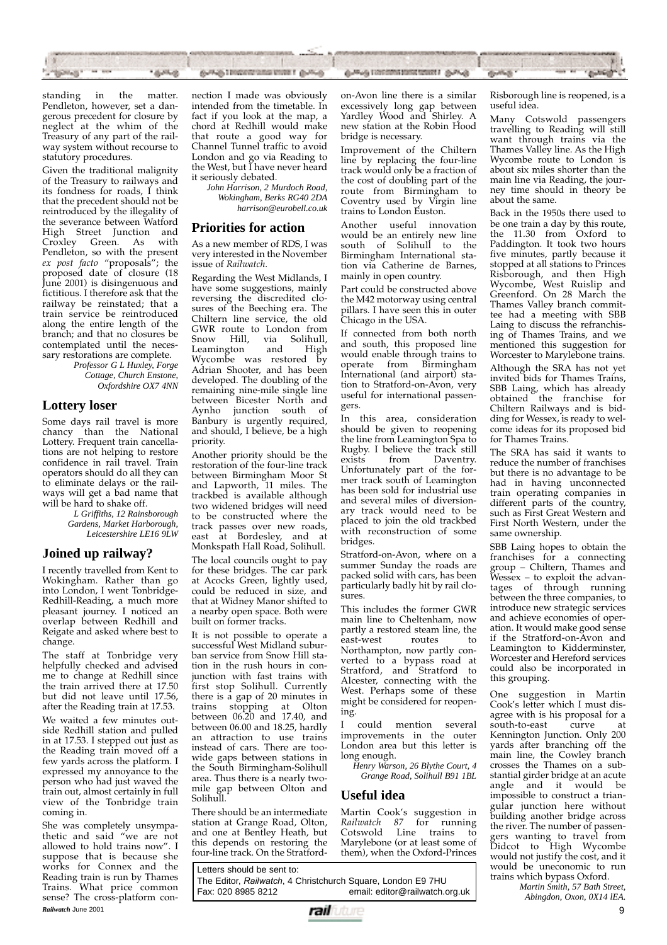

standing in the matter. Pendleton, however, set a dangerous precedent for closure by neglect at the whim of the Treasury of any part of the railway system without recourse to statutory procedures.

Given the traditional malignity of the Treasury to railways and its fondness for roads, I think that the precedent should not be reintroduced by the illegality of the severance between Watford High Street Junction and Croxley Green. As with Pendleton, so with the present *ex post facto* "proposals"; the proposed date of closure (18 June 2001) is disingenuous and fictitious. I therefore ask that the railway be reinstated; that a train service be reintroduced along the entire length of the branch; and that no closures be contemplated until the necessary restorations are complete.

> *Professor G L Huxley, Forge Cottage, Church Enstone, Oxfordshire OX7 4NN*

### **Lottery loser**

Some days rail travel is more chancy than the National Lottery. Frequent train cancellations are not helping to restore confidence in rail travel. Train operators should do all they can to eliminate delays or the railways will get a bad name that will be hard to shake off.

> *L Griffiths, 12 Rainsborough Gardens, Market Harborough, Leicestershire LE16 9LW*

### **Joined up railway?**

I recently travelled from Kent to Wokingham. Rather than go into London, I went Tonbridge-Redhill-Reading, a much more pleasant journey. I noticed an overlap between Redhill and Reigate and asked where best to change.

The staff at Tonbridge very helpfully checked and advised me to change at Redhill since the train arrived there at 17.50 but did not leave until 17.56, after the Reading train at 17.53.

We waited a few minutes outside Redhill station and pulled in at 17.53. I stepped out just as the Reading train moved off a few yards across the platform. I expressed my annoyance to the person who had just waved the train out, almost certainly in full view of the Tonbridge train coming in.

She was completely unsympathetic and said "we are not allowed to hold trains now". I suppose that is because she works for Connex and the Reading train is run by Thames<br>Trains. What price common Trains. What price common sense? The cross-platform con-**Railwatch June 2001** 9

nection I made was obviously intended from the timetable. In fact if you look at the map, a chord at Redhill would make that route a good way for Channel Tunnel traffic to avoid London and go via Reading to the West, but I have never heard it seriously debated.

> *John Harrison, 2 Murdoch Road, Wokingham, Berks RG40 2DA harrison@eurobell.co.uk*

### **Priorities for action**

As a new member of RDS, I was very interested in the November issue of *Railwatch*.

Regarding the West Midlands, I have some suggestions, mainly reversing the discredited closures of the Beeching era. The Chiltern line service, the old GWR route to London from Snow Hill, via Solihull,<br>Leamington and High Leamington Wycombe was restored by Adrian Shooter, and has been developed. The doubling of the remaining nine-mile single line between Bicester North and Aynho junction south of Banbury is urgently required, and should, I believe, be a high priority.

Another priority should be the restoration of the four-line track between Birmingham Moor St and Lapworth, 11 miles. The trackbed is available although two widened bridges will need to be constructed where the track passes over new roads, east at Bordesley, and at Monkspath Hall Road, Solihull.

The local councils ought to pay for these bridges. The car park at Acocks Green, lightly used, could be reduced in size, and that at Widney Manor shifted to a nearby open space. Both were built on former tracks.

It is not possible to operate a successful West Midland suburban service from Snow Hill station in the rush hours in conjunction with fast trains with first stop Solihull. Currently there is a gap of 20 minutes in trains stopping at Olton between 06.20 and 17.40, and between 06.00 and 18.25, hardly an attraction to use trains instead of cars. There are toowide gaps between stations in the South Birmingham-Solihull area. Thus there is a nearly twomile gap between Olton and Solihull.

There should be an intermediate station at Grange Road, Olton, and one at Bentley Heath, but this depends on restoring the four-line track. On the Stratford-

Letters should be sent to: The Editor, *Railwatch*, 4 Christchurch Square, London E9 7HU email: editor@railwatch.org.uk

on-Avon line there is a similar excessively long gap between Yardley Wood and Shirley. A new station at the Robin Hood bridge is necessary.

Improvement of the Chiltern line by replacing the four-line track would only be a fraction of the cost of doubling part of the route from Birmingham to Coventry used by Virgin line trains to London Euston.

Another useful innovation would be an entirely new line south of Solihull to the Birmingham International station via Catherine de Barnes, mainly in open country.

Part could be constructed above the M42 motorway using central pillars. I have seen this in outer Chicago in the USA.

If connected from both north and south, this proposed line would enable through trains to operate from Birmingham International (and airport) station to Stratford-on-Avon, very useful for international passengers.

In this area, consideration should be given to reopening the line from Leamington Spa to Rugby. I believe the track still<br>exists from Daventry. Daventry. Unfortunately part of the former track south of Leamington has been sold for industrial use and several miles of diversionary track would need to be placed to join the old trackbed with reconstruction of some bridges.

Stratford-on-Avon, where on a summer Sunday the roads are packed solid with cars, has been particularly badly hit by rail closures.

This includes the former GWR main line to Cheltenham, now partly a restored steam line, the east-west Northampton, now partly converted to a bypass road at Stratford, and Stratford to Alcester, connecting with the West. Perhaps some of these might be considered for reopening.

I could mention several improvements in the outer London area but this letter is long enough.

*Henry Warson, 26 Blythe Court, 4 Grange Road, Solihull B91 1BL*

### **Useful idea**

Martin Cook's suggestion in *Railwatch 87* for running Line trains to Marylebone (or at least some of them), when the Oxford-Princes

Risborough line is reopened, is a useful idea.

Many Cotswold passengers travelling to Reading will still want through trains via the Thames Valley line. As the High Wycombe route to London is about six miles shorter than the main line via Reading, the journey time should in theory be about the same.

Back in the 1950s there used to be one train a day by this route, the 11.30 from Oxford to Paddington. It took two hours five minutes, partly because it stopped at all stations to Princes Risborough, and then High Wycombe, West Ruislip and Greenford. On 28 March the Thames Valley branch committee had a meeting with SBB Laing to discuss the refranchising of Thames Trains, and we mentioned this suggestion for Worcester to Marylebone trains.

Although the SRA has not yet invited bids for Thames Trains, SBB Laing, which has already obtained the franchise for Chiltern Railways and is bidding for Wessex, is ready to welcome ideas for its proposed bid for Thames Trains.

The SRA has said it wants to reduce the number of franchises but there is no advantage to be had in having unconnected train operating companies in different parts of the country, such as First Great Western and First North Western, under the same ownership.

SBB Laing hopes to obtain the franchises for a connecting group – Chiltern, Thames and Wessex – to exploit the advantages of through running between the three companies, to introduce new strategic services and achieve economies of operation. It would make good sense if the Stratford-on-Avon and Leamington to Kidderminster, Worcester and Hereford services could also be incorporated in this grouping.

One suggestion in Martin Cook's letter which I must disagree with is his proposal for a<br>south-to-east curve at south-to-east curve at Kennington Junction. Only 200 yards after branching off the main line, the Cowley branch crosses the Thames on a substantial girder bridge at an acute angle and it would be impossible to construct a triangular junction here without building another bridge across the river. The number of passengers wanting to travel from Didcot to High Wycombe would not justify the cost, and it would be uneconomic to run trains which bypass Oxford.

*Martin Smith, 57 Bath Street, Abingdon, Oxon, 0X14 lEA.*